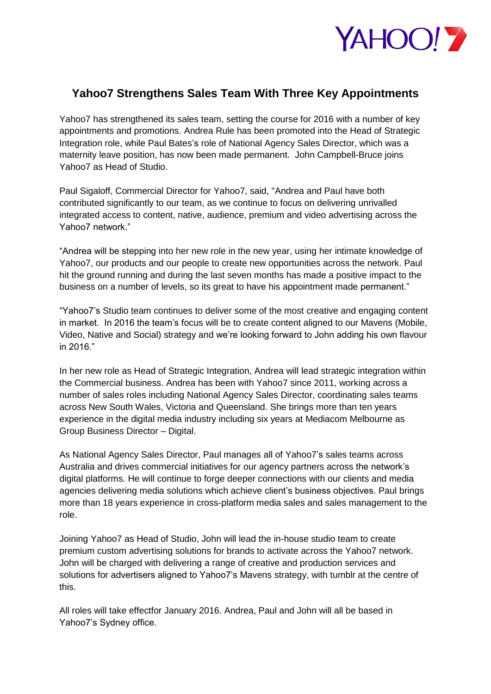

## **Yahoo7 Strengthens Sales Team With Three Key Appointments**

Yahoo7 has strengthened its sales team, setting the course for 2016 with a number of key appointments and promotions. Andrea Rule has been promoted into the Head of Strategic Integration role, while Paul Bates's role of National Agency Sales Director, which was a maternity leave position, has now been made permanent. John Campbell-Bruce joins Yahoo7 as Head of Studio.

Paul Sigaloff, Commercial Director for Yahoo7, said, "Andrea and Paul have both contributed significantly to our team, as we continue to focus on delivering unrivalled integrated access to content, native, audience, premium and video advertising across the Yahoo7 network."

"Andrea will be stepping into her new role in the new year, using her intimate knowledge of Yahoo7, our products and our people to create new opportunities across the network. Paul hit the ground running and during the last seven months has made a positive impact to the business on a number of levels, so its great to have his appointment made permanent."

"Yahoo7's Studio team continues to deliver some of the most creative and engaging content in market. In 2016 the team's focus will be to create content aligned to our Mavens (Mobile, Video, Native and Social) strategy and we're looking forward to John adding his own flavour in 2016."

In her new role as Head of Strategic Integration, Andrea will lead strategic integration within the Commercial business. Andrea has been with Yahoo7 since 2011, working across a number of sales roles including National Agency Sales Director, coordinating sales teams across New South Wales, Victoria and Queensland. She brings more than ten years experience in the digital media industry including six years at Mediacom Melbourne as Group Business Director – Digital.

As National Agency Sales Director, Paul manages all of Yahoo7's sales teams across Australia and drives commercial initiatives for our agency partners across the network's digital platforms. He will continue to forge deeper connections with our clients and media agencies delivering media solutions which achieve client's business objectives. Paul brings more than 18 years experience in cross-platform media sales and sales management to the role.

Joining Yahoo7 as Head of Studio, John will lead the in-house studio team to create premium custom advertising solutions for brands to activate across the Yahoo7 network. John will be charged with delivering a range of creative and production services and solutions for advertisers aligned to Yahoo7's Mavens strategy, with tumblr at the centre of this.

All roles will take effectfor January 2016. Andrea, Paul and John will all be based in Yahoo7's Sydney office.